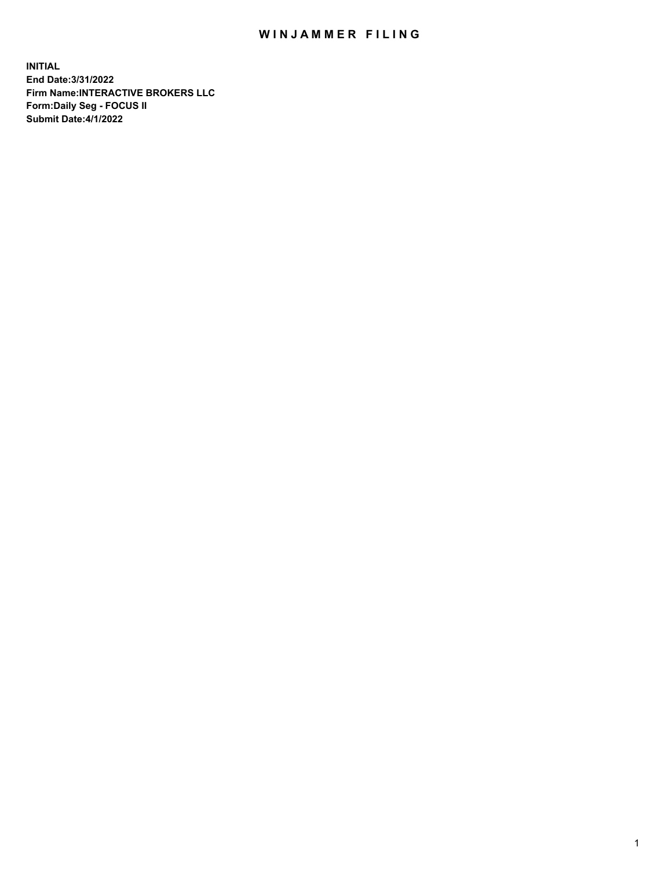## WIN JAMMER FILING

**INITIAL End Date:3/31/2022 Firm Name:INTERACTIVE BROKERS LLC Form:Daily Seg - FOCUS II Submit Date:4/1/2022**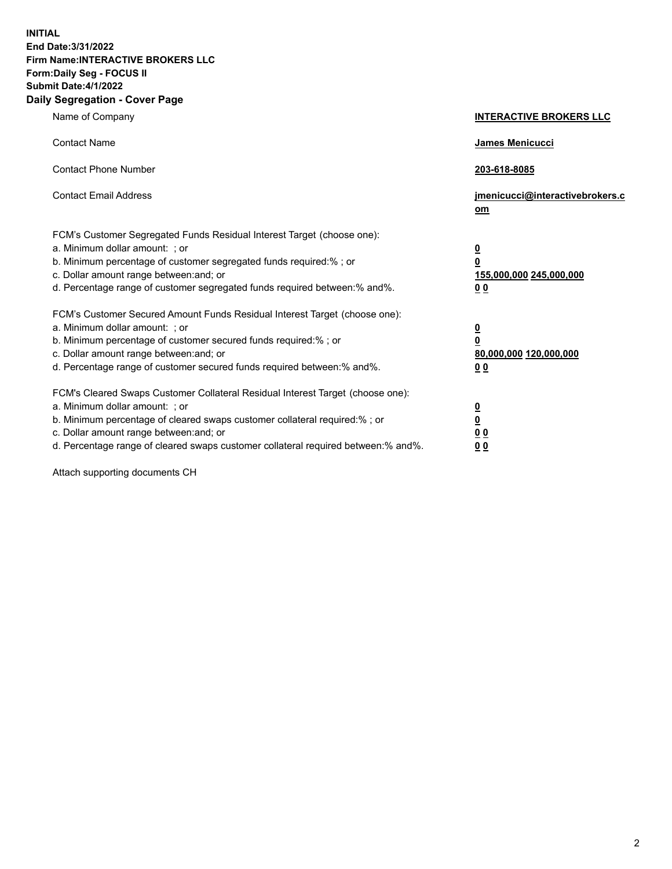**INITIAL End Date:3/31/2022 Firm Name:INTERACTIVE BROKERS LLC Form:Daily Seg - FOCUS II Submit Date:4/1/2022 Daily Segregation - Cover Page**

| Name of Company                                                                                                                                                                                                                                                                                                                | <b>INTERACTIVE BROKERS LLC</b>                                                                 |
|--------------------------------------------------------------------------------------------------------------------------------------------------------------------------------------------------------------------------------------------------------------------------------------------------------------------------------|------------------------------------------------------------------------------------------------|
| <b>Contact Name</b>                                                                                                                                                                                                                                                                                                            | James Menicucci                                                                                |
| <b>Contact Phone Number</b>                                                                                                                                                                                                                                                                                                    | 203-618-8085                                                                                   |
| <b>Contact Email Address</b>                                                                                                                                                                                                                                                                                                   | jmenicucci@interactivebrokers.c<br>om                                                          |
| FCM's Customer Segregated Funds Residual Interest Target (choose one):<br>a. Minimum dollar amount: ; or<br>b. Minimum percentage of customer segregated funds required:% ; or<br>c. Dollar amount range between: and; or<br>d. Percentage range of customer segregated funds required between:% and%.                         | $\overline{\mathbf{0}}$<br>$\overline{\mathbf{0}}$<br>155,000,000 245,000,000<br>00            |
| FCM's Customer Secured Amount Funds Residual Interest Target (choose one):<br>a. Minimum dollar amount: ; or<br>b. Minimum percentage of customer secured funds required:%; or<br>c. Dollar amount range between: and; or<br>d. Percentage range of customer secured funds required between:% and%.                            | $\overline{\mathbf{0}}$<br>$\overline{\mathbf{0}}$<br>80,000,000 120,000,000<br>0 <sub>0</sub> |
| FCM's Cleared Swaps Customer Collateral Residual Interest Target (choose one):<br>a. Minimum dollar amount: ; or<br>b. Minimum percentage of cleared swaps customer collateral required:% ; or<br>c. Dollar amount range between: and; or<br>d. Percentage range of cleared swaps customer collateral required between:% and%. | $\frac{0}{0}$<br>0 <sub>0</sub><br>0 <sub>0</sub>                                              |

Attach supporting documents CH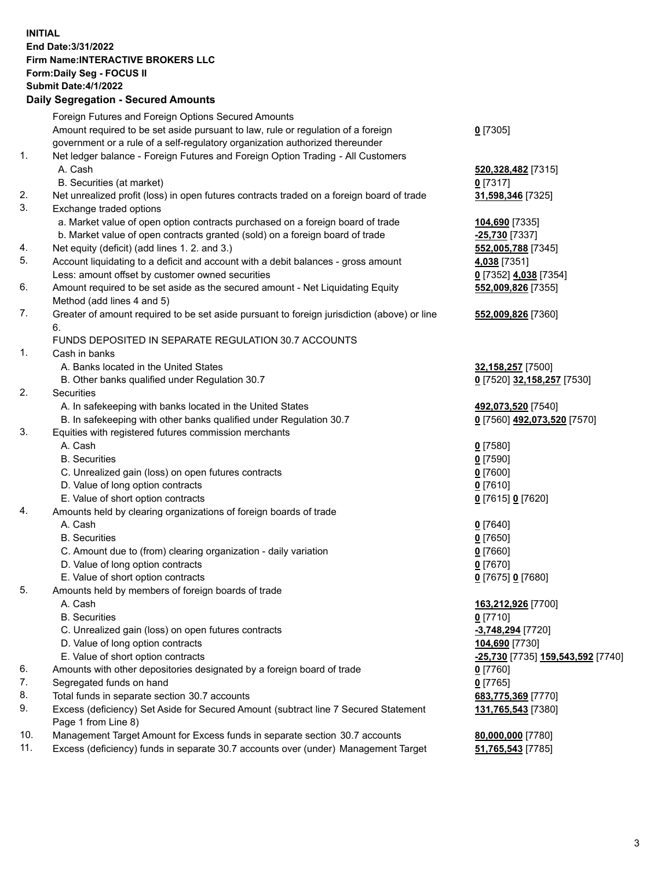**INITIAL End Date:3/31/2022 Firm Name:INTERACTIVE BROKERS LLC Form:Daily Seg - FOCUS II Submit Date:4/1/2022 Daily Segregation - Secured Amounts**

|     | Dany Ocgregation - Occarea Anioants                                                                        |                                   |
|-----|------------------------------------------------------------------------------------------------------------|-----------------------------------|
|     | Foreign Futures and Foreign Options Secured Amounts                                                        |                                   |
|     | Amount required to be set aside pursuant to law, rule or regulation of a foreign                           | $0$ [7305]                        |
|     | government or a rule of a self-regulatory organization authorized thereunder                               |                                   |
| 1.  | Net ledger balance - Foreign Futures and Foreign Option Trading - All Customers                            |                                   |
|     | A. Cash                                                                                                    | 520,328,482 [7315]                |
|     | B. Securities (at market)                                                                                  | $0$ [7317]                        |
| 2.  | Net unrealized profit (loss) in open futures contracts traded on a foreign board of trade                  | 31,598,346 [7325]                 |
| 3.  | Exchange traded options                                                                                    |                                   |
|     | a. Market value of open option contracts purchased on a foreign board of trade                             | 104,690 [7335]                    |
|     | b. Market value of open contracts granted (sold) on a foreign board of trade                               | -25,730 [7337]                    |
| 4.  | Net equity (deficit) (add lines 1. 2. and 3.)                                                              | 552,005,788 [7345]                |
| 5.  | Account liquidating to a deficit and account with a debit balances - gross amount                          | 4,038 [7351]                      |
|     | Less: amount offset by customer owned securities                                                           | 0 [7352] 4,038 [7354]             |
| 6.  | Amount required to be set aside as the secured amount - Net Liquidating Equity                             | 552,009,826 [7355]                |
|     | Method (add lines 4 and 5)                                                                                 |                                   |
| 7.  | Greater of amount required to be set aside pursuant to foreign jurisdiction (above) or line                | 552,009,826 [7360]                |
|     | 6.                                                                                                         |                                   |
|     | FUNDS DEPOSITED IN SEPARATE REGULATION 30.7 ACCOUNTS                                                       |                                   |
| 1.  | Cash in banks                                                                                              |                                   |
|     | A. Banks located in the United States                                                                      | 32,158,257 [7500]                 |
|     | B. Other banks qualified under Regulation 30.7                                                             | 0 [7520] 32,158,257 [7530]        |
| 2.  | Securities                                                                                                 |                                   |
|     | A. In safekeeping with banks located in the United States                                                  | 492,073,520 [7540]                |
|     | B. In safekeeping with other banks qualified under Regulation 30.7                                         | 0 [7560] 492,073,520 [7570]       |
| 3.  | Equities with registered futures commission merchants                                                      |                                   |
|     | A. Cash                                                                                                    | $0$ [7580]                        |
|     | <b>B.</b> Securities                                                                                       | $0$ [7590]                        |
|     | C. Unrealized gain (loss) on open futures contracts                                                        | $0$ [7600]                        |
|     | D. Value of long option contracts                                                                          | $0$ [7610]                        |
|     | E. Value of short option contracts                                                                         | 0 [7615] 0 [7620]                 |
| 4.  | Amounts held by clearing organizations of foreign boards of trade                                          |                                   |
|     | A. Cash                                                                                                    | $0$ [7640]                        |
|     | <b>B.</b> Securities                                                                                       | $0$ [7650]                        |
|     | C. Amount due to (from) clearing organization - daily variation                                            | $0$ [7660]                        |
|     | D. Value of long option contracts                                                                          | $0$ [7670]                        |
|     | E. Value of short option contracts                                                                         | 0 [7675] 0 [7680]                 |
| 5.  | Amounts held by members of foreign boards of trade                                                         |                                   |
|     | A. Cash                                                                                                    | 163,212,926 [7700]                |
|     | <b>B.</b> Securities                                                                                       | $0$ [7710]                        |
|     | C. Unrealized gain (loss) on open futures contracts                                                        | -3,748,294 [7720]                 |
|     | D. Value of long option contracts                                                                          | 104,690 [7730]                    |
|     | E. Value of short option contracts                                                                         | -25,730 [7735] 159,543,592 [7740] |
| 6.  | Amounts with other depositories designated by a foreign board of trade                                     | 0 [7760]                          |
| 7.  | Segregated funds on hand                                                                                   | $0$ [7765]                        |
| 8.  | Total funds in separate section 30.7 accounts                                                              | 683,775,369 [7770]                |
| 9.  | Excess (deficiency) Set Aside for Secured Amount (subtract line 7 Secured Statement<br>Page 1 from Line 8) | 131,765,543 [7380]                |
| 10. | Management Target Amount for Excess funds in separate section 30.7 accounts                                | 80,000,000 [7780]                 |
| 11. | Excess (deficiency) funds in separate 30.7 accounts over (under) Management Target                         | 51,765,543 [7785]                 |
|     |                                                                                                            |                                   |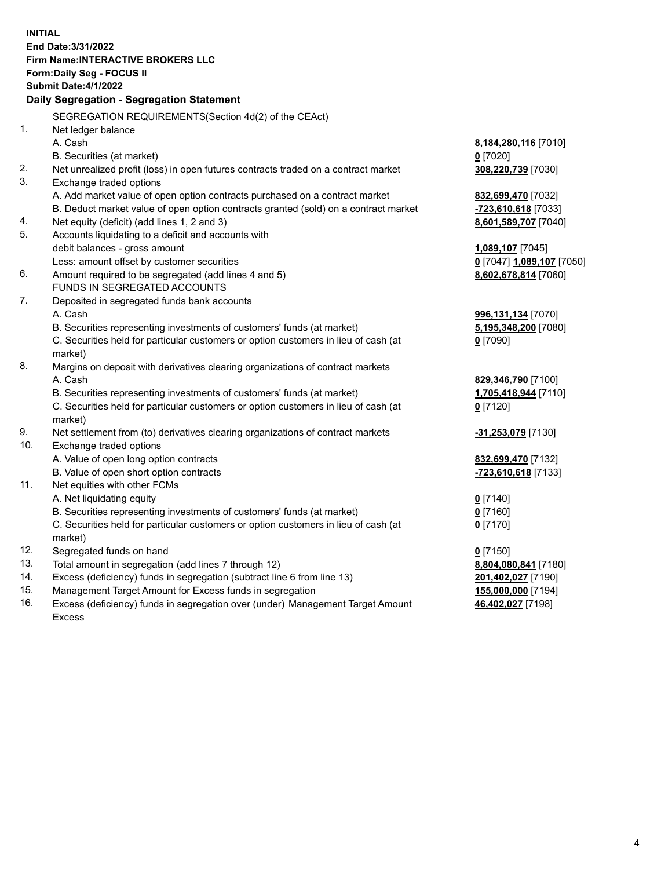**INITIAL End Date:3/31/2022 Firm Name:INTERACTIVE BROKERS LLC Form:Daily Seg - FOCUS II Submit Date:4/1/2022 Daily Segregation - Segregation Statement** SEGREGATION REQUIREMENTS(Section 4d(2) of the CEAct) 1. Net ledger balance A. Cash **8,184,280,116** [7010] B. Securities (at market) **0** [7020] 2. Net unrealized profit (loss) in open futures contracts traded on a contract market **308,220,739** [7030] 3. Exchange traded options A. Add market value of open option contracts purchased on a contract market **832,699,470** [7032] B. Deduct market value of open option contracts granted (sold) on a contract market **-723,610,618** [7033] 4. Net equity (deficit) (add lines 1, 2 and 3) **8,601,589,707** [7040] 5. Accounts liquidating to a deficit and accounts with debit balances - gross amount **1,089,107** [7045] Less: amount offset by customer securities **0** [7047] **1,089,107** [7050] 6. Amount required to be segregated (add lines 4 and 5) **8,602,678,814** [7060] FUNDS IN SEGREGATED ACCOUNTS 7. Deposited in segregated funds bank accounts A. Cash **996,131,134** [7070] B. Securities representing investments of customers' funds (at market) **5,195,348,200** [7080] C. Securities held for particular customers or option customers in lieu of cash (at market) **0** [7090] 8. Margins on deposit with derivatives clearing organizations of contract markets A. Cash **829,346,790** [7100] B. Securities representing investments of customers' funds (at market) **1,705,418,944** [7110] C. Securities held for particular customers or option customers in lieu of cash (at market) **0** [7120] 9. Net settlement from (to) derivatives clearing organizations of contract markets **-31,253,079** [7130] 10. Exchange traded options A. Value of open long option contracts **832,699,470** [7132] B. Value of open short option contracts **-723,610,618** [7133] 11. Net equities with other FCMs A. Net liquidating equity **0** [7140] B. Securities representing investments of customers' funds (at market) **0** [7160] C. Securities held for particular customers or option customers in lieu of cash (at market) **0** [7170] 12. Segregated funds on hand **0** [7150] 13. Total amount in segregation (add lines 7 through 12) **8,804,080,841** [7180] 14. Excess (deficiency) funds in segregation (subtract line 6 from line 13) **201,402,027** [7190] 15. Management Target Amount for Excess funds in segregation **155,000,000** [7194]

16. Excess (deficiency) funds in segregation over (under) Management Target Amount Excess

**46,402,027** [7198]